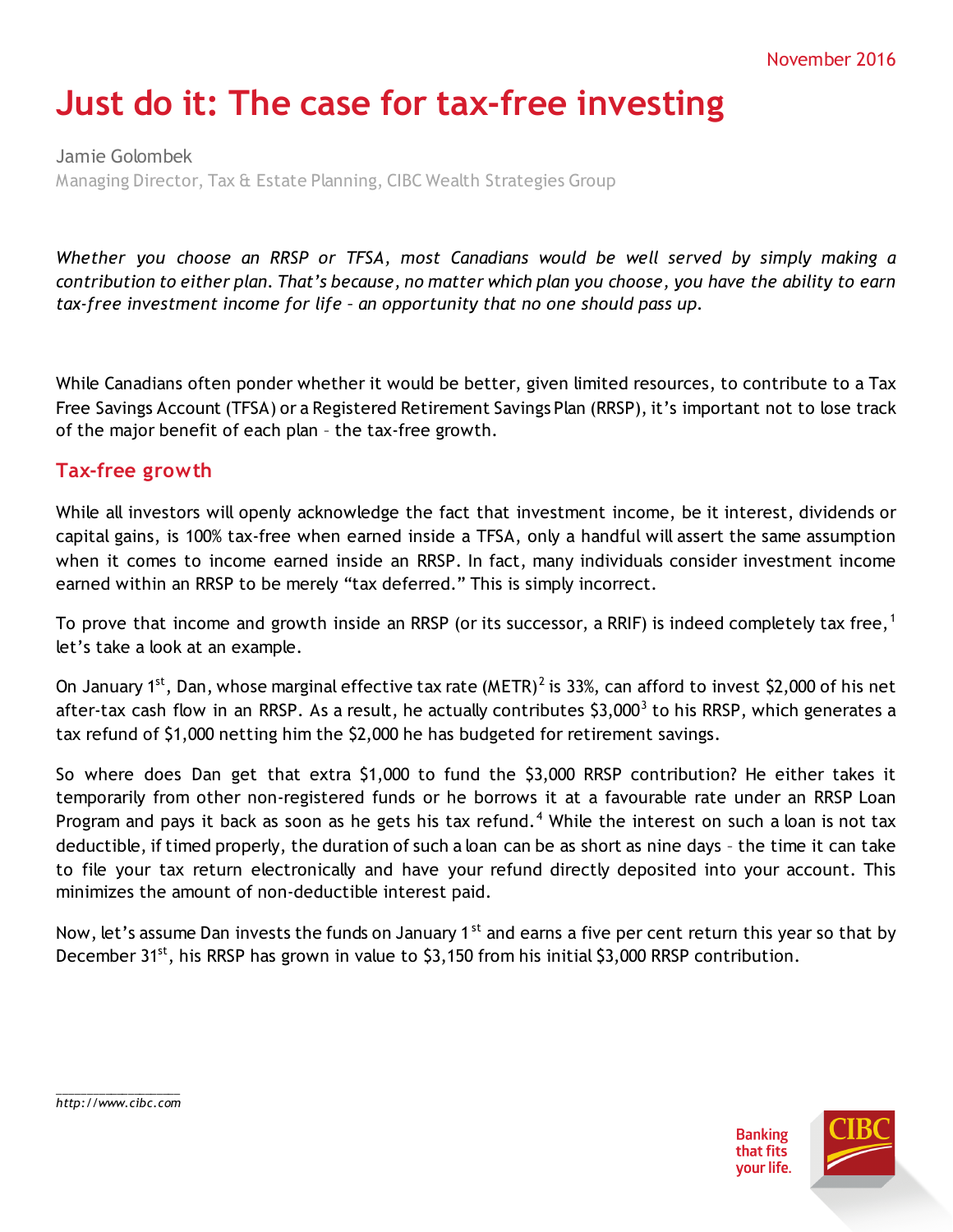# **Just do it: The case for tax-free investing**

Jamie Golombek Managing Director, Tax & Estate Planning, CIBC Wealth Strategies Group

*Whether you choose an RRSP or TFSA, most Canadians would be well served by simply making a contribution to either plan. That's because, no matter which plan you choose, you have the ability to earn tax-free investment income for life – an opportunity that no one should pass up.*

While Canadians often ponder whether it would be better, given limited resources, to contribute to a Tax Free Savings Account (TFSA) or a Registered Retirement Savings Plan (RRSP), it's important not to lose track of the major benefit of each plan – the tax-free growth.

## **Tax-free growth**

While all investors will openly acknowledge the fact that investment income, be it interest, dividends or capital gains, is 100% tax-free when earned inside a TFSA, only a handful will assert the same assumption when it comes to income earned inside an RRSP. In fact, many individuals consider investment income earned within an RRSP to be merely "tax deferred." This is simply incorrect.

To prove that income and growth inside an RRSP (or its successor, a RRIF) is indeed completely tax free,<sup>[1](#page-3-0)</sup> let's take a look at an example.

On January 1<sup>st</sup>, Dan, whose marginal effective tax rate (METR)<sup>[2](#page-3-1)</sup> is 33%, can afford to invest \$2,000 of his net after-tax cash flow in an RRSP. As a result, he actually contributes  $$3,000^3$  $$3,000^3$  $$3,000^3$  to his RRSP, which generates a tax refund of \$1,000 netting him the \$2,000 he has budgeted for retirement savings.

So where does Dan get that extra \$1,000 to fund the \$3,000 RRSP contribution? He either takes it temporarily from other non-registered funds or he borrows it at a favourable rate under an RRSP Loan Program and pays it back as soon as he gets his tax refund.<sup>[4](#page-3-3)</sup> While the interest on such a loan is not tax deductible, if timed properly, the duration of such a loan can be as short as nine days – the time it can take to file your tax return electronically and have your refund directly deposited into your account. This minimizes the amount of non-deductible interest paid.

Now, let's assume Dan invests the funds on January 1<sup>st</sup> and earns a five per cent return this year so that by December 31<sup>st</sup>, his RRSP has grown in value to \$3,150 from his initial \$3,000 RRSP contribution.



\_\_\_\_\_\_\_\_\_\_\_\_\_\_\_\_\_\_\_\_\_ *http://www.cibc.com*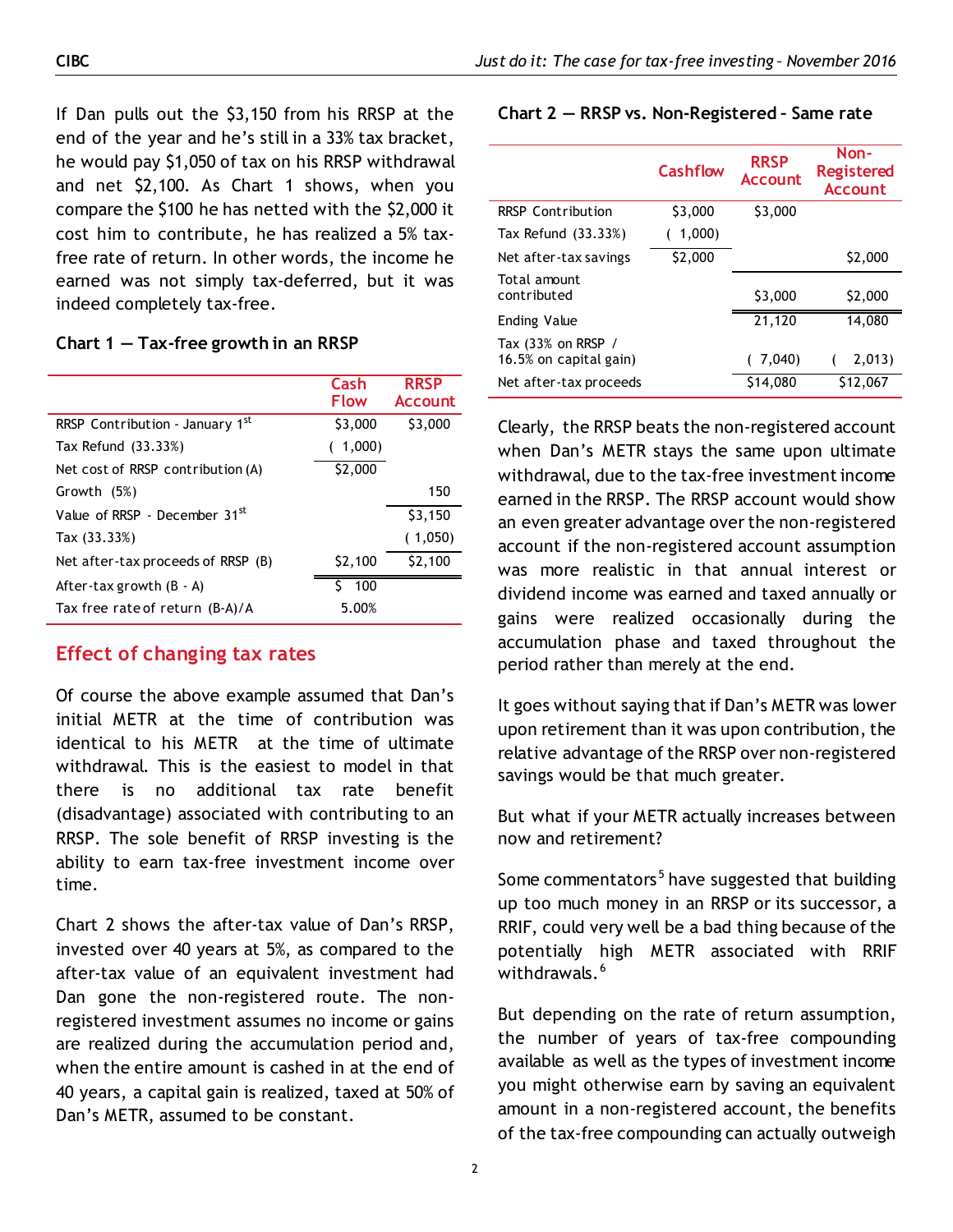If Dan pulls out the \$3,150 from his RRSP at the end of the year and he's still in a 33% tax bracket, he would pay \$1,050 of tax on his RRSP withdrawal and net \$2,100. As Chart 1 shows, when you compare the \$100 he has netted with the \$2,000 it cost him to contribute, he has realized a 5% taxfree rate of return. In other words, the income he earned was not simply tax-deferred, but it was indeed completely tax-free.

#### **Chart 1 — Tax-free growth in an RRSP**

|                                    | Cash<br>Flow | <b>RRSP</b><br><b>Account</b> |
|------------------------------------|--------------|-------------------------------|
| RRSP Contribution - January 1st    | \$3,000      | \$3,000                       |
| Tax Refund (33.33%)                | 1,000        |                               |
| Net cost of RRSP contribution (A)  | \$2,000      |                               |
| Growth (5%)                        |              | 150                           |
| Value of RRSP - December $31st$    |              | \$3,150                       |
| Tax (33.33%)                       |              | (1,050)                       |
| Net after-tax proceeds of RRSP (B) | \$2,100      | \$2,100                       |
| After-tax growth $(B - A)$         | Š.<br>- 100  |                               |
| Tax free rate of return (B-A)/A    | 5.00%        |                               |

## **Effect of changing tax rates**

Of course the above example assumed that Dan's initial METR at the time of contribution was identical to his METR at the time of ultimate withdrawal. This is the easiest to model in that there is no additional tax rate benefit (disadvantage) associated with contributing to an RRSP. The sole benefit of RRSP investing is the ability to earn tax-free investment income over time.

Chart 2 shows the after-tax value of Dan's RRSP, invested over 40 years at 5%, as compared to the after-tax value of an equivalent investment had Dan gone the non-registered route. The nonregistered investment assumes no income or gains are realized during the accumulation period and, when the entire amount is cashed in at the end of 40 years, a capital gain is realized, taxed at 50% of Dan's METR, assumed to be constant.

#### **Chart 2 — RRSP vs. Non-Registered – Same rate**

|                                              | Cashflow | <b>RRSP</b><br><b>Account</b> | Non-<br><b>Registered</b><br><b>Account</b> |
|----------------------------------------------|----------|-------------------------------|---------------------------------------------|
| <b>RRSP Contribution</b>                     | \$3,000  | \$3,000                       |                                             |
| Tax Refund (33.33%)                          | 1,000    |                               |                                             |
| Net after-tax savings                        | \$2,000  |                               | \$2,000                                     |
| Total amount<br>contributed                  |          | \$3,000                       | \$2,000                                     |
| Ending Value                                 |          | 21,120                        | 14.080                                      |
| Tax (33% on RRSP /<br>16.5% on capital gain) |          | 7,040)                        | 2,013)                                      |
| Net after-tax proceeds                       |          | \$14,080                      | \$12,067                                    |

Clearly, the RRSP beats the non-registered account when Dan's METR stays the same upon ultimate withdrawal, due to the tax-free investment income earned in the RRSP. The RRSP account would show an even greater advantage over the non-registered account if the non-registered account assumption was more realistic in that annual interest or dividend income was earned and taxed annually or gains were realized occasionally during the accumulation phase and taxed throughout the period rather than merely at the end.

It goes without saying that if Dan's METR was lower upon retirement than it was upon contribution, the relative advantage of the RRSP over non-registered savings would be that much greater.

But what if your METR actually increases between now and retirement?

Some commentators<sup>[5](#page-3-4)</sup> have suggested that building up too much money in an RRSP or its successor, a RRIF, could very well be a bad thing because of the potentially high METR associated with RRIF withdrawals.<sup>[6](#page-3-5)</sup>

But depending on the rate of return assumption, the number of years of tax-free compounding available as well as the types of investment income you might otherwise earn by saving an equivalent amount in a non-registered account, the benefits of the tax-free compounding can actually outweigh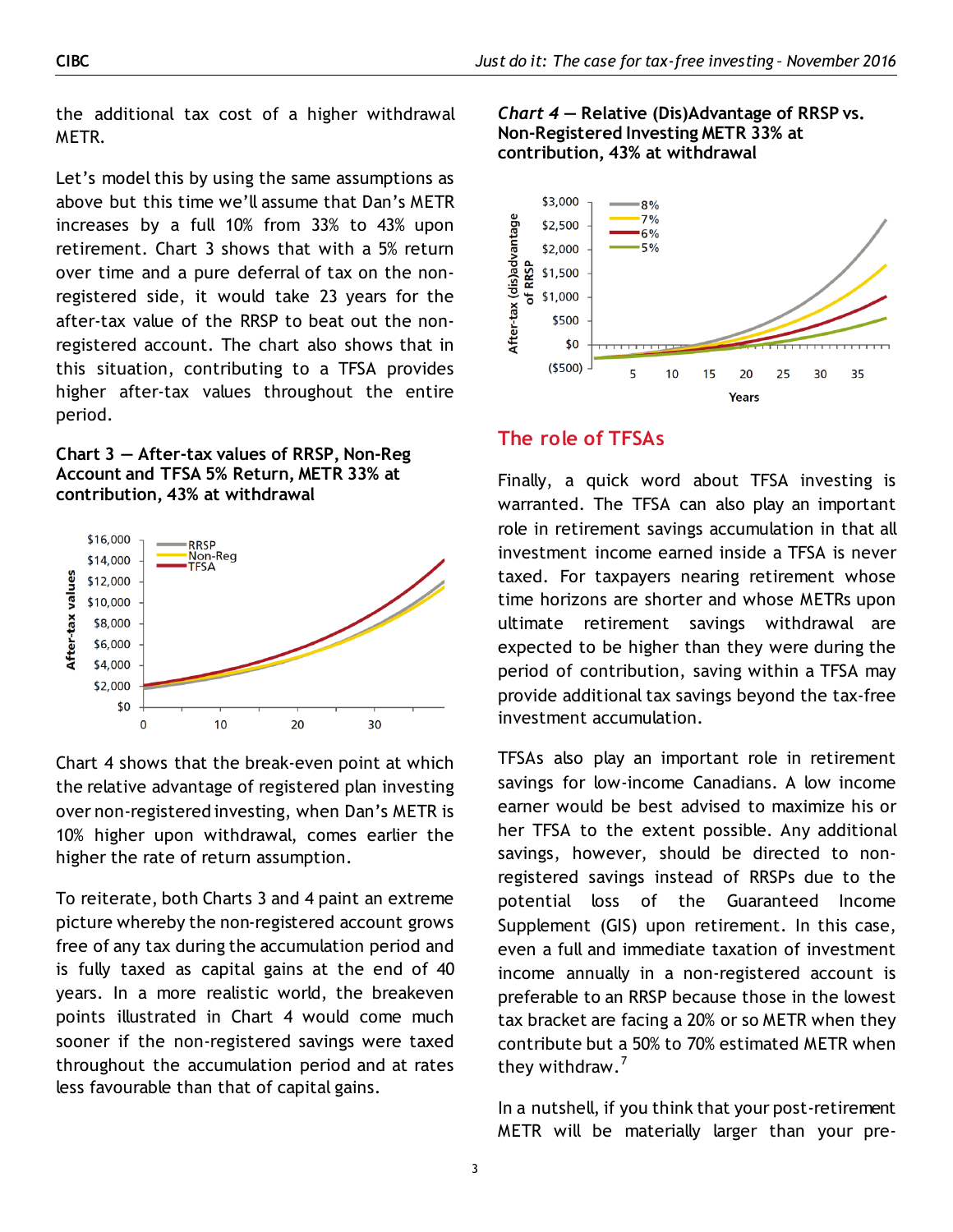the additional tax cost of a higher withdrawal METR.

Let's model this by using the same assumptions as above but this time we'll assume that Dan's METR increases by a full 10% from 33% to 43% upon retirement. Chart 3 shows that with a 5% return over time and a pure deferral of tax on the nonregistered side, it would take 23 years for the after-tax value of the RRSP to beat out the nonregistered account. The chart also shows that in this situation, contributing to a TFSA provides higher after-tax values throughout the entire period.

**Chart 3 — After-tax values of RRSP, Non-Reg Account and TFSA 5% Return, METR 33% at contribution, 43% at withdrawal**



Chart 4 shows that the break-even point at which the relative advantage of registered plan investing over non-registered investing, when Dan's METR is 10% higher upon withdrawal, comes earlier the higher the rate of return assumption.

To reiterate, both Charts 3 and 4 paint an extreme picture whereby the non-registered account grows free of any tax during the accumulation period and is fully taxed as capital gains at the end of 40 years. In a more realistic world, the breakeven points illustrated in Chart 4 would come much sooner if the non-registered savings were taxed throughout the accumulation period and at rates less favourable than that of capital gains.

*Chart 4* **— Relative (Dis)Advantage of RRSP vs. Non-Registered Investing METR 33% at contribution, 43% at withdrawal**



## **The role of TFSAs**

Finally, a quick word about TFSA investing is warranted. The TFSA can also play an important role in retirement savings accumulation in that all investment income earned inside a TFSA is never taxed. For taxpayers nearing retirement whose time horizons are shorter and whose METRs upon ultimate retirement savings withdrawal are expected to be higher than they were during the period of contribution, saving within a TFSA may provide additional tax savings beyond the tax-free investment accumulation.

TFSAs also play an important role in retirement savings for low-income Canadians. A low income earner would be best advised to maximize his or her TFSA to the extent possible. Any additional savings, however, should be directed to nonregistered savings instead of RRSPs due to the potential loss of the Guaranteed Income Supplement (GIS) upon retirement. In this case, even a full and immediate taxation of investment income annually in a non-registered account is preferable to an RRSP because those in the lowest tax bracket are facing a 20% or so METR when they contribute but a 50% to 70% estimated METR when they withdraw. $7$ 

In a nutshell, if you think that your post-retirement METR will be materially larger than your pre-